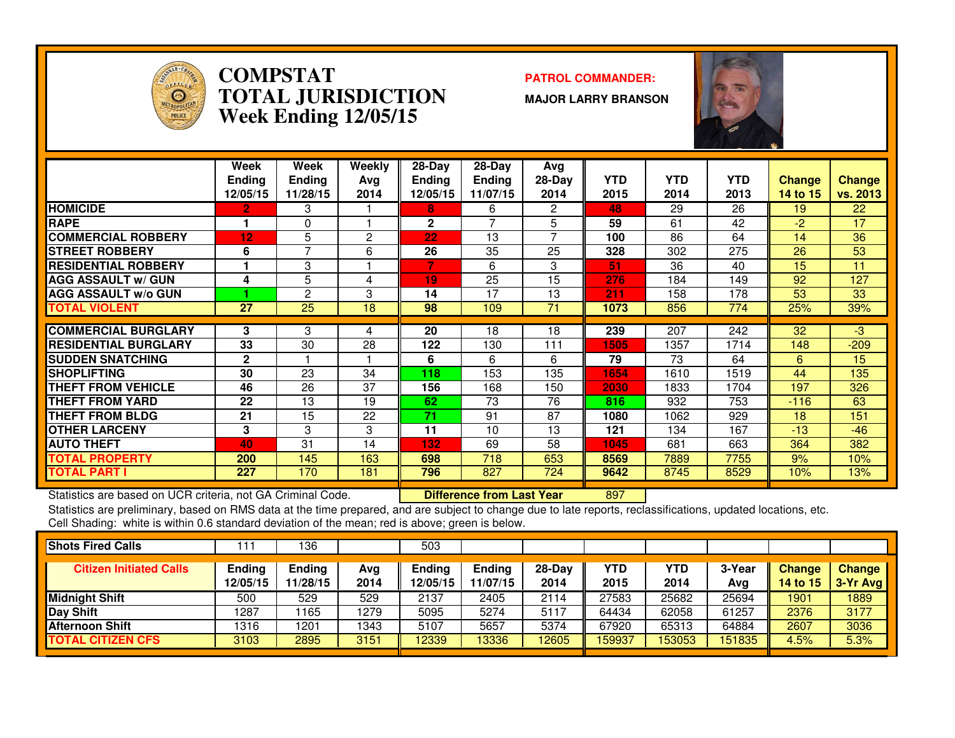

### **COMPSTAT PATROL COMMANDER: TOTAL JURISDICTIONWeek Ending 12/05/15**

**MAJOR LARRY BRANSON**



|                             | Week<br><b>Ending</b><br>12/05/15 | Week<br><b>Ending</b><br>11/28/15 | Weekly<br>Avg<br>2014 | $28-Dav$<br><b>Ending</b><br>12/05/15 | $28-Day$<br><b>Ending</b><br>11/07/15 | Avg<br>28-Day<br>2014 | <b>YTD</b><br>2015 | <b>YTD</b><br>2014 | <b>YTD</b><br>2013 | <b>Change</b><br>14 to 15 | <b>Change</b><br>vs. 2013 |
|-----------------------------|-----------------------------------|-----------------------------------|-----------------------|---------------------------------------|---------------------------------------|-----------------------|--------------------|--------------------|--------------------|---------------------------|---------------------------|
| <b>HOMICIDE</b>             | 2                                 | 3                                 |                       | 8                                     | 6                                     | 2                     | 48                 | 29                 | 26                 | 19                        | 22                        |
| <b>RAPE</b>                 |                                   | 0                                 |                       | $\mathbf{2}$                          |                                       | 5                     | 59                 | 61                 | 42                 | -2                        | 17                        |
| <b>COMMERCIAL ROBBERY</b>   | 12                                | 5                                 | 2                     | 22                                    | 13                                    | 7                     | 100                | 86                 | 64                 | 14                        | 36                        |
| <b>STREET ROBBERY</b>       | 6                                 | 7                                 | 6                     | 26                                    | 35                                    | 25                    | 328                | 302                | 275                | 26                        | 53                        |
| <b>RESIDENTIAL ROBBERY</b>  |                                   | 3                                 |                       | 7                                     | 6                                     | 3                     | 51                 | 36                 | 40                 | 15                        | 11                        |
| <b>AGG ASSAULT w/ GUN</b>   | 4                                 | 5                                 | 4                     | 19                                    | $\overline{25}$                       | 15                    | 276                | 184                | 149                | 92                        | 127                       |
| <b>AGG ASSAULT w/o GUN</b>  |                                   | 2                                 | 3                     | 14                                    | 17                                    | 13                    | 211                | 158                | 178                | 53                        | 33                        |
| <b>TOTAL VIOLENT</b>        | 27                                | 25                                | 18                    | 98                                    | 109                                   | 71                    | 1073               | 856                | 774                | 25%                       | 39%                       |
|                             |                                   |                                   |                       |                                       |                                       |                       |                    |                    |                    |                           |                           |
| <b>COMMERCIAL BURGLARY</b>  | 3                                 | 3                                 | 4                     | 20                                    | 18                                    | 18                    | 239                | 207                | $\overline{242}$   | 32                        | $-3$                      |
| <b>RESIDENTIAL BURGLARY</b> | 33                                | 30                                | 28                    | 122                                   | 130                                   | 111                   | 1505               | 1357               | 1714               | 148                       | $-209$                    |
| <b>ISUDDEN SNATCHING</b>    | $\mathbf{2}$                      |                                   |                       | 6                                     | 6                                     | 6                     | 79                 | 73                 | 64                 | 6                         | 15                        |
| <b>SHOPLIFTING</b>          | 30                                | 23                                | 34                    | 118                                   | 153                                   | 135                   | 1654               | 1610               | 1519               | 44                        | 135                       |
| <b>THEFT FROM VEHICLE</b>   | 46                                | 26                                | 37                    | 156                                   | 168                                   | 150                   | 2030               | 1833               | 1704               | 197                       | 326                       |
| <b>THEFT FROM YARD</b>      | 22                                | 13                                | 19                    | 62                                    | 73                                    | 76                    | 816                | 932                | 753                | $-116$                    | 63                        |
| <b>THEFT FROM BLDG</b>      | 21                                | 15                                | 22                    | 71                                    | 91                                    | 87                    | 1080               | 1062               | 929                | 18                        | 151                       |
| <b>OTHER LARCENY</b>        | 3                                 | 3                                 | 3                     | 11                                    | 10                                    | 13                    | 121                | 134                | 167                | $-13$                     | $-46$                     |
| <b>AUTO THEFT</b>           | 40                                | 31                                | 14                    | 132                                   | 69                                    | 58                    | 1045               | 681                | 663                | 364                       | 382                       |
| <b>TOTAL PROPERTY</b>       | 200                               | 145                               | 163                   | 698                                   | 718                                   | 653                   | 8569               | 7889               | 7755               | 9%                        | 10%                       |
| <b>TOTAL PART I</b>         | 227                               | 170                               | 181                   | 796                                   | 827                                   | 724                   | 9642               | 8745               | 8529               | 10%                       | 13%                       |

Statistics are based on UCR criteria, not GA Criminal Code. **Difference from Last Year** 

Statistics are based on UCR criteria, not GA Criminal Code. **[19] Difference from Last Year [1987] [1987]**<br>Statistics are preliminary, based on RMS data at the time prepared, and are subject to change due to late reports, Cell Shading: white is within 0.6 standard deviation of the mean; red is above; green is below.

| <b>Shots Fired Calls</b>       |                    | 136                |             | 503                       |                           |                  |                    |             |               |                    |                      |
|--------------------------------|--------------------|--------------------|-------------|---------------------------|---------------------------|------------------|--------------------|-------------|---------------|--------------------|----------------------|
| <b>Citizen Initiated Calls</b> | Ending<br>12/05/15 | Ending<br>11/28/15 | Avg<br>2014 | <b>Ending</b><br>12/05/15 | <b>Ending</b><br>11/07/15 | $28-Day$<br>2014 | <b>YTD</b><br>2015 | YTD<br>2014 | 3-Year<br>Avg | Change<br>14 to 15 | Change<br>$3-Yr$ Avg |
| Midnight Shift                 | 500                | 529                | 529         | 2137                      | 2405                      | 2114             | 27583              | 25682       | 25694         | 1901               | 1889                 |
| Day Shift                      | 1287               | 165                | 1279        | 5095                      | 5274                      | 5117             | 64434              | 62058       | 61257         | 2376               | 3177                 |
| <b>Afternoon Shift</b>         | 1316               | 1201               | 1343        | 5107                      | 5657                      | 5374             | 67920              | 65313       | 64884         | 2607               | 3036                 |
| <b>TOTAL CITIZEN CFS</b>       | 3103               | 2895               | 3151        | 12339                     | 13336                     | 12605            | 159937             | 53053       | 151835        | 4.5%               | 5.3%                 |
|                                |                    |                    |             |                           |                           |                  |                    |             |               |                    |                      |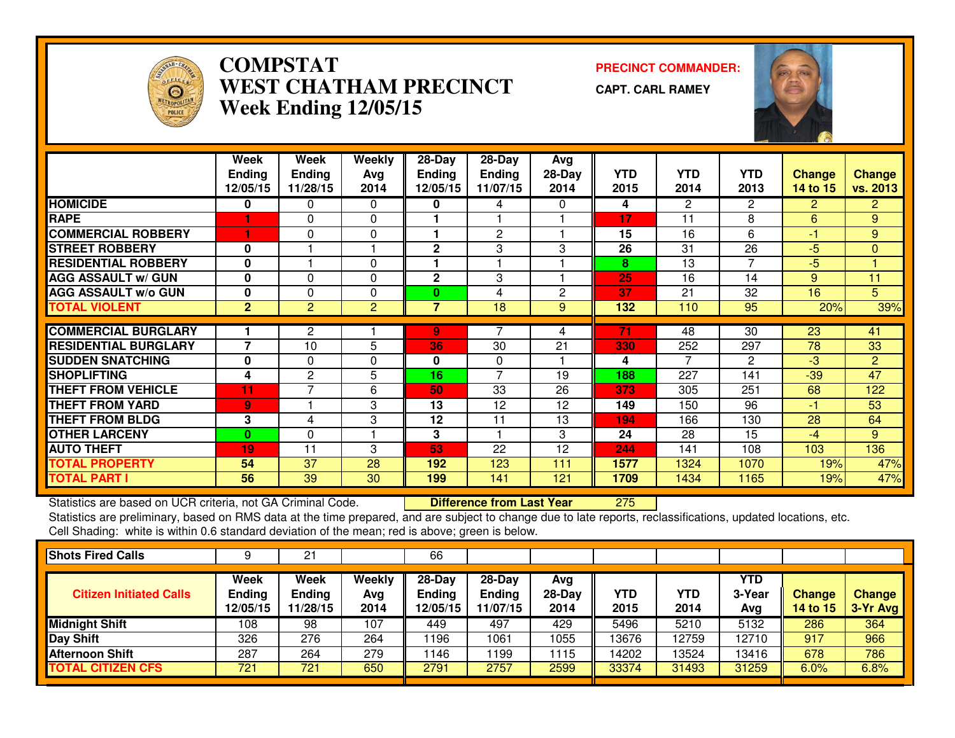

## **COMPSTAT PRECINCT COMMANDER: WEST CHATHAM PRECINCTWeek Ending 12/05/15**

**CAPT. CARL RAMEY**



|                             | Week           | Week           | <b>Weekly</b>  | $28-Day$                | 28-Day         | Avg          |            |                       |                |                |                 |
|-----------------------------|----------------|----------------|----------------|-------------------------|----------------|--------------|------------|-----------------------|----------------|----------------|-----------------|
|                             | <b>Ending</b>  | <b>Ending</b>  | Avg            | <b>Ending</b>           | Ending         | $28-Day$     | <b>YTD</b> | <b>YTD</b>            | <b>YTD</b>     | <b>Change</b>  | <b>Change</b>   |
|                             | 12/05/15       | 11/28/15       | 2014           | 12/05/15                | 11/07/15       | 2014         | 2015       | 2014                  | 2013           | 14 to 15       | <b>vs. 2013</b> |
| <b>HOMICIDE</b>             | 0              | 0              | $\Omega$       | 0                       | 4              | 0            | 4          | $\mathbf{2}^{\prime}$ | $\overline{2}$ | $\overline{2}$ | $\mathbf{2}$    |
| <b>RAPE</b>                 |                | $\Omega$       | $\Omega$       |                         |                |              | 17         | 11                    | 8              | 6              | 9               |
| <b>COMMERCIAL ROBBERY</b>   | 1              | 0              | $\Omega$       | 1                       | $\mathbf{2}$   |              | 15         | 16                    | 6              | $-1$           | 9               |
| <b>STREET ROBBERY</b>       | 0              |                |                | 2                       | 3              | 3            | 26         | 31                    | 26             | $-5$           | $\mathbf{0}$    |
| <b>RESIDENTIAL ROBBERY</b>  | $\mathbf{0}$   |                | $\Omega$       | 1                       |                |              | 8          | 13                    | $\overline{7}$ | $-5$           |                 |
| <b>AGG ASSAULT w/ GUN</b>   | $\bf{0}$       | $\Omega$       | $\Omega$       | $\overline{\mathbf{c}}$ | 3              |              | 25         | 16                    | 14             | 9              | 11              |
| <b>AGG ASSAULT w/o GUN</b>  | 0              | $\Omega$       | $\Omega$       | 0                       | 4              | $\mathbf{2}$ | 37         | 21                    | 32             | 16             | 5               |
| <b>TOTAL VIOLENT</b>        | $\overline{2}$ | $\overline{2}$ | $\overline{2}$ | $\overline{7}$          | 18             | 9            | 132        | 110                   | 95             | 20%            | 39%             |
| <b>COMMERCIAL BURGLARY</b>  |                | $\overline{2}$ |                | 9                       |                |              | 71         | 48                    | 30             | 23             | 41              |
|                             |                |                |                |                         |                | 4            |            |                       |                |                |                 |
| <b>RESIDENTIAL BURGLARY</b> | $\overline{7}$ | 10             | 5              | 36                      | 30             | 21           | 330        | 252                   | 297            | 78             | 33              |
| <b>SUDDEN SNATCHING</b>     | 0              | 0              | $\Omega$       | 0                       | $\Omega$       |              | 4          | 7                     | 2              | $-3$           | $\overline{2}$  |
| <b>SHOPLIFTING</b>          | 4              | 2              | 5              | 16                      | $\overline{7}$ | 19           | 188        | 227                   | 141            | $-39$          | 47              |
| <b>THEFT FROM VEHICLE</b>   | 11             | ⇁              | 6              | 50                      | 33             | 26           | 373        | 305                   | 251            | 68             | 122             |
| <b>THEFT FROM YARD</b>      | 9              |                | 3              | 13                      | 12             | 12           | 149        | 150                   | 96             | $-1$           | 53              |
| <b>THEFT FROM BLDG</b>      | 3              | 4              | 3              | 12                      | 11             | 13           | 194        | 166                   | 130            | 28             | 64              |
| <b>OTHER LARCENY</b>        | $\bf{0}$       | $\Omega$       |                | 3                       |                | 3            | 24         | 28                    | 15             | $-4$           | 9               |
| <b>AUTO THEFT</b>           | 19             | 11             | 3              | 53                      | 22             | 12           | 244        | 141                   | 108            | 103            | 136             |
| <b>TOTAL PROPERTY</b>       | 54             | 37             | 28             | 192                     | 123            | 111          | 1577       | 1324                  | 1070           | 19%            | 47%             |
| <b>TOTAL PART I</b>         | 56             | 39             | 30             | 199                     | 141            | 121          | 1709       | 1434                  | 1165           | 19%            | 47%             |

Statistics are based on UCR criteria, not GA Criminal Code. **Difference from Last Year** 

<sup>275</sup>

 Statistics are preliminary, based on RMS data at the time prepared, and are subject to change due to late reports, reclassifications, updated locations, etc.Cell Shading: white is within 0.6 standard deviation of the mean; red is above; green is below.

| <b>Shots Fired Calls</b>       |                                   |                                   |                       | 66                                    |                                       |                       |             |             |                      |                                  |                             |
|--------------------------------|-----------------------------------|-----------------------------------|-----------------------|---------------------------------------|---------------------------------------|-----------------------|-------------|-------------|----------------------|----------------------------------|-----------------------------|
| <b>Citizen Initiated Calls</b> | Week<br><b>Ending</b><br>12/05/15 | Week<br><b>Ending</b><br>11/28/15 | Weekly<br>Avg<br>2014 | $28-Dav$<br><b>Ending</b><br>12/05/15 | $28-Dav$<br><b>Ending</b><br>11/07/15 | Avg<br>28-Day<br>2014 | YTD<br>2015 | YTD<br>2014 | YTD<br>3-Year<br>Avg | <b>Change</b><br><b>14 to 15</b> | <b>Change</b><br>$3-Yr$ Avg |
| <b>Midnight Shift</b>          | 108                               | 98                                | 107                   | 449                                   | 497                                   | 429                   | 5496        | 5210        | 5132                 | 286                              | 364                         |
| <b>Day Shift</b>               | 326                               | 276                               | 264                   | 196                                   | 1061                                  | 1055                  | 13676       | 12759       | 12710                | 917                              | 966                         |
| <b>Afternoon Shift</b>         | 287                               | 264                               | 279                   | 146                                   | 1199                                  | 1115                  | 14202       | 13524       | 13416                | 678                              | 786                         |
| <b>TOTAL CITIZEN CFS</b>       | 721                               | 721                               | 650                   | 2791                                  | 2757                                  | 2599                  | 33374       | 31493       | 31259                | 6.0%                             | 6.8%                        |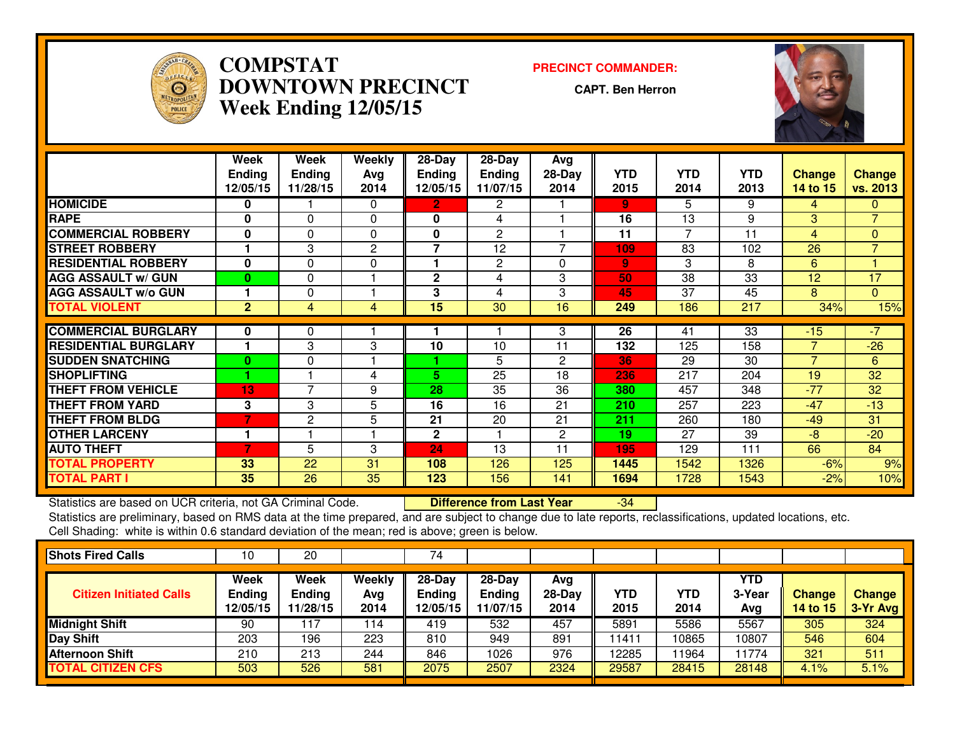

## **COMPSTAT PRECINCT COMMANDER: DOWNTOWN PRECINCTWeek Ending 12/05/15**

**CAPT. Ben Herron**

-34



|                             | Week           | <b>Week</b>    | <b>Weekly</b> | 28-Day        | 28-Day         | <b>Avg</b>     |      |            |            |                |                |
|-----------------------------|----------------|----------------|---------------|---------------|----------------|----------------|------|------------|------------|----------------|----------------|
|                             | <b>Ending</b>  | <b>Ending</b>  | Avg           | <b>Ending</b> | <b>Ending</b>  | $28-Day$       | YTD  | <b>YTD</b> | <b>YTD</b> | <b>Change</b>  | <b>Change</b>  |
|                             | 12/05/15       | 11/28/15       | 2014          | 12/05/15      | 11/07/15       | 2014           | 2015 | 2014       | 2013       | 14 to 15       | vs. 2013       |
| <b>HOMICIDE</b>             | $\bf{0}$       |                | $\Omega$      | 2.            | $\overline{2}$ |                | 9    | 5          | 9          | 4              | 0              |
| <b>RAPE</b>                 | 0              | 0              | $\Omega$      | 0             | 4              |                | 16   | 13         | 9          | 3              | $\overline{7}$ |
| <b>COMMERCIAL ROBBERY</b>   | $\mathbf{0}$   | $\Omega$       | $\Omega$      | 0             | $\overline{2}$ |                | 11   |            | 11         | 4              | 0              |
| <b>STREET ROBBERY</b>       |                | 3              | 2             | 7             | 12             |                | 109  | 83         | 102        | 26             | $\overline{7}$ |
| <b>RESIDENTIAL ROBBERY</b>  | $\mathbf{0}$   | $\Omega$       | $\Omega$      | 1             | 2              | $\Omega$       | 9    | 3          | 8          | 6              |                |
| <b>AGG ASSAULT W/ GUN</b>   | $\bf{0}$       | $\Omega$       |               | $\mathbf 2$   | 4              | 3              | 50   | 38         | 33         | 12             | 17             |
| <b>AGG ASSAULT w/o GUN</b>  |                | 0              |               | 3             | 4              | 3              | 45   | 37         | 45         | 8              | $\Omega$       |
| <b>TOTAL VIOLENT</b>        | $\overline{2}$ | 4              | 4             | 15            | 30             | 16             | 249  | 186        | 217        | 34%            | 15%            |
| <b>COMMERCIAL BURGLARY</b>  | 0              | 0              |               |               |                | 3              | 26   | 41         | 33         | $-15$          | $-7$           |
|                             |                |                |               |               |                |                |      |            |            | $\overline{7}$ |                |
| <b>RESIDENTIAL BURGLARY</b> |                | 3              | 3             | 10            | 10             | 11             | 132  | 125        | 158        |                | $-26$          |
| <b>SUDDEN SNATCHING</b>     | $\bf{0}$       | $\Omega$       |               |               | 5              | $\overline{2}$ | 36   | 29         | 30         | $\overline{7}$ | 6              |
| <b>SHOPLIFTING</b>          |                |                | 4             | 5.            | 25             | 18             | 236  | 217        | 204        | 19             | 32             |
| <b>THEFT FROM VEHICLE</b>   | 13             | $\overline{ }$ | 9             | 28            | 35             | 36             | 380  | 457        | 348        | $-77$          | 32             |
| <b>THEFT FROM YARD</b>      | 3              | 3              | 5             | 16            | 16             | 21             | 210  | 257        | 223        | $-47$          | $-13$          |
| <b>THEFT FROM BLDG</b>      | 7              | $\mathbf{2}$   | 5             | 21            | 20             | 21             | 211  | 260        | 180        | $-49$          | 31             |
| <b>OTHER LARCENY</b>        |                |                |               | 2             |                | 2              | 19   | 27         | 39         | $-8$           | $-20$          |
| <b>AUTO THEFT</b>           | 7              | 5              | 3             | 24            | 13             | 11             | 195  | 129        | 111        | 66             | 84             |
| <b>TOTAL PROPERTY</b>       | 33             | 22             | 31            | 108           | 126            | 125            | 1445 | 1542       | 1326       | $-6%$          | 9%             |
| <b>TOTAL PART I</b>         | 35             | 26             | 35            | 123           | 156            | 141            | 1694 | 1728       | 1543       | $-2%$          | 10%            |

Statistics are based on UCR criteria, not GA Criminal Code. **Difference from Last Year** 

 Statistics are preliminary, based on RMS data at the time prepared, and are subject to change due to late reports, reclassifications, updated locations, etc.Cell Shading: white is within 0.6 standard deviation of the mean; red is above; green is below.

| <b>Shots Fired Calls</b>       | 10                                | 20                                |                       | 74                                  |                                       |                         |             |             |                             |                           |                           |
|--------------------------------|-----------------------------------|-----------------------------------|-----------------------|-------------------------------------|---------------------------------------|-------------------------|-------------|-------------|-----------------------------|---------------------------|---------------------------|
| <b>Citizen Initiated Calls</b> | Week<br><b>Ending</b><br>12/05/15 | Week<br><b>Ending</b><br>11/28/15 | Weekly<br>Avg<br>2014 | 28-Day<br><b>Ending</b><br>12/05/15 | $28-Dav$<br><b>Ending</b><br>11/07/15 | Avg<br>$28-Day$<br>2014 | YTD<br>2015 | YTD<br>2014 | <b>YTD</b><br>3-Year<br>Avg | <b>Change</b><br>14 to 15 | <b>Change</b><br>3-Yr Avg |
| <b>Midnight Shift</b>          | 90                                |                                   | 114                   | 419                                 | 532                                   | 457                     | 5891        | 5586        | 5567                        | 305                       | 324                       |
| <b>Day Shift</b>               | 203                               | 196                               | 223                   | 810                                 | 949                                   | 891                     | 11411       | 10865       | 10807                       | 546                       | 604                       |
| <b>Afternoon Shift</b>         | 210                               | 213                               | 244                   | 846                                 | 1026                                  | 976                     | 12285       | 1964        | 11774                       | 321                       | 511                       |
| <b>TOTAL CITIZEN CFS</b>       | 503                               | 526                               | 581                   | 2075                                | 2507                                  | 2324                    | 29587       | 28415       | 28148                       | 4.1%                      | 5.1%                      |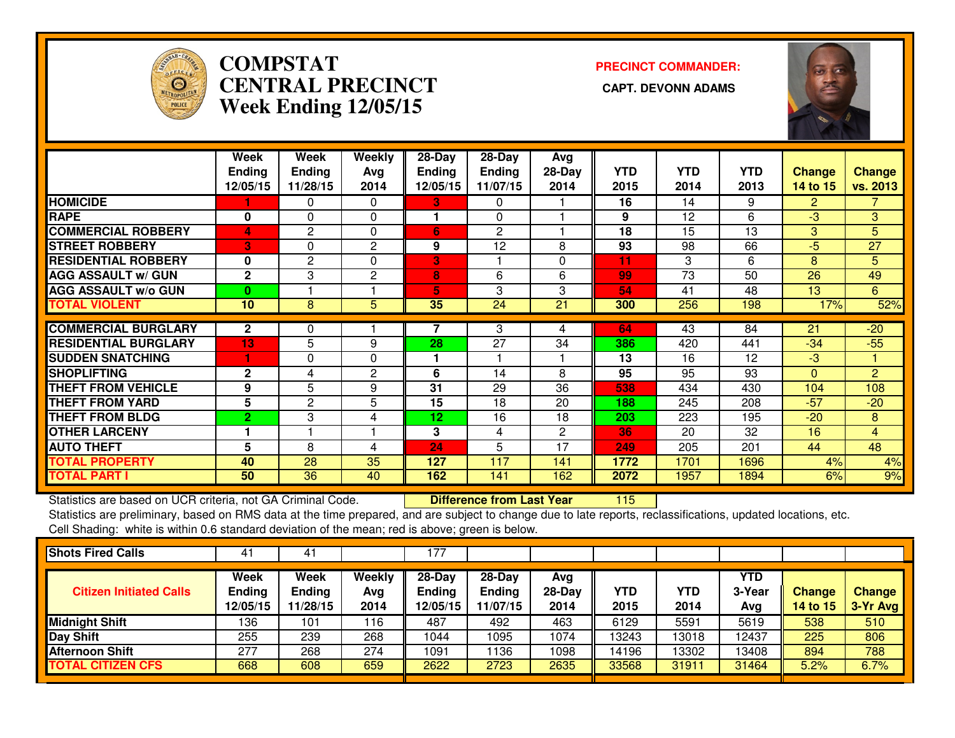

# **COMPSTAT PRECINCT COMMANDER: CENTRAL PRECINCT CAPT. DEVONN ADAMSWeek Ending 12/05/15**



|                             | Week           | Week          | Weekly         | 28-Day        | 28-Day        | Avg          |            |            |            |                |                |
|-----------------------------|----------------|---------------|----------------|---------------|---------------|--------------|------------|------------|------------|----------------|----------------|
|                             | <b>Ending</b>  | <b>Ending</b> | Avg            | <b>Ending</b> | <b>Ending</b> | $28-Day$     | <b>YTD</b> | <b>YTD</b> | <b>YTD</b> | <b>Change</b>  | <b>Change</b>  |
|                             | 12/05/15       | 11/28/15      | 2014           | 12/05/15      | 11/07/15      | 2014         | 2015       | 2014       | 2013       | 14 to 15       | vs. 2013       |
| <b>HOMICIDE</b>             |                | 0             | $\Omega$       | 37            | 0             |              | 16         | 14         | 9          | $\overline{2}$ | 7.             |
| <b>RAPE</b>                 | $\bf{0}$       | $\Omega$      | $\Omega$       |               | $\Omega$      |              | 9          | 12         | 6          | $-3$           | 3              |
| <b>COMMERCIAL ROBBERY</b>   | $\overline{4}$ | 2             | 0              | 6             | 2             |              | 18         | 15         | 13         | 3              | 5              |
| <b>STREET ROBBERY</b>       | 3              | 0             | 2              | 9             | 12            | 8            | 93         | 98         | 66         | $-5$           | 27             |
| <b>RESIDENTIAL ROBBERY</b>  | 0              | $\mathbf{2}$  | 0              | 3             |               | 0            | 11         | 3          | 6          | 8              | 5 <sup>5</sup> |
| <b>AGG ASSAULT w/ GUN</b>   | $\overline{2}$ | 3             | $\overline{2}$ | 8             | 6             | 6            | 99         | 73         | 50         | 26             | 49             |
| <b>AGG ASSAULT w/o GUN</b>  | 0              |               |                | 5             | 3             | 3            | 54         | 41         | 48         | 13             | 6              |
| <b>TOTAL VIOLENT</b>        | 10             | 8             | 5              | 35            | 24            | 21           | 300        | 256        | 198        | 17%            | 52%            |
|                             |                |               |                |               |               |              |            |            |            |                |                |
| <b>COMMERCIAL BURGLARY</b>  | $\mathbf{2}$   | 0             |                |               | 3             | 4            | 64         | 43         | 84         | 21             | $-20$          |
| <b>RESIDENTIAL BURGLARY</b> | 13             | 5             | 9              | 28            | 27            | 34           | 386        | 420        | 441        | $-34$          | $-55$          |
| <b>SUDDEN SNATCHING</b>     | 1              | 0             | 0              |               |               |              | 13         | 16         | 12         | $-3$           |                |
| <b>SHOPLIFTING</b>          | $\mathbf{2}$   | 4             | 2              | 6             | 14            | 8            | 95         | 95         | 93         | $\Omega$       | $\overline{2}$ |
| <b>THEFT FROM VEHICLE</b>   | 9              | 5             | 9              | 31            | 29            | 36           | 538        | 434        | 430        | 104            | 108            |
| <b>THEFT FROM YARD</b>      | 5              | 2             | 5              | 15            | 18            | 20           | 188        | 245        | 208        | $-57$          | $-20$          |
| <b>THEFT FROM BLDG</b>      | $\overline{2}$ | 3             | 4              | 12            | 16            | 18           | 203        | 223        | 195        | $-20$          | 8              |
| <b>OTHER LARCENY</b>        |                |               |                | 3             | 4             | $\mathbf{2}$ | 36         | 20         | 32         | 16             | $\overline{4}$ |
| <b>AUTO THEFT</b>           | 5              | 8             | 4              | 24            | 5             | 17           | 249        | 205        | 201        | 44             | 48             |
| <b>TOTAL PROPERTY</b>       | 40             | 28            | 35             | 127           | 117           | 141          | 1772       | 1701       | 1696       | 4%             | 4%             |
| <b>TOTAL PART I</b>         | 50             | 36            | 40             | 162           | 141           | 162          | 2072       | 1957       | 1894       | 6%             | 9%             |

Statistics are based on UCR criteria, not GA Criminal Code. **Difference from Last Year** 

<sup>115</sup>

 Statistics are preliminary, based on RMS data at the time prepared, and are subject to change due to late reports, reclassifications, updated locations, etc.Cell Shading: white is within 0.6 standard deviation of the mean; red is above; green is below.

| <b>Shots Fired Calls</b>       | 41                                | 41                                |                       | 77ء                                   |                                         |                         |             |             |                             |                                  |                           |
|--------------------------------|-----------------------------------|-----------------------------------|-----------------------|---------------------------------------|-----------------------------------------|-------------------------|-------------|-------------|-----------------------------|----------------------------------|---------------------------|
| <b>Citizen Initiated Calls</b> | Week<br><b>Ending</b><br>12/05/15 | Week<br><b>Ending</b><br>11/28/15 | Weekly<br>Avg<br>2014 | $28-Dav$<br><b>Ending</b><br>12/05/15 | $28 - Day$<br><b>Ending</b><br>11/07/15 | Avg<br>$28-Day$<br>2014 | YTD<br>2015 | YTD<br>2014 | <b>YTD</b><br>3-Year<br>Avg | <b>Change</b><br><b>14 to 15</b> | <b>Change</b><br>3-Yr Avg |
| <b>Midnight Shift</b>          | 136                               | 101                               | 116                   | 487                                   | 492                                     | 463                     | 6129        | 5591        | 5619                        | 538                              | 510                       |
| Day Shift                      | 255                               | 239                               | 268                   | 1044                                  | 1095                                    | 1074                    | 13243       | 13018       | 12437                       | 225                              | 806                       |
| <b>Afternoon Shift</b>         | 277                               | 268                               | 274                   | 1091                                  | 136                                     | 1098                    | 14196       | 13302       | 13408                       | 894                              | 788                       |
| <b>TOTAL CITIZEN CFS</b>       | 668                               | 608                               | 659                   | 2622                                  | 2723                                    | 2635                    | 33568       | 31911       | 31464                       | 5.2%                             | 6.7%                      |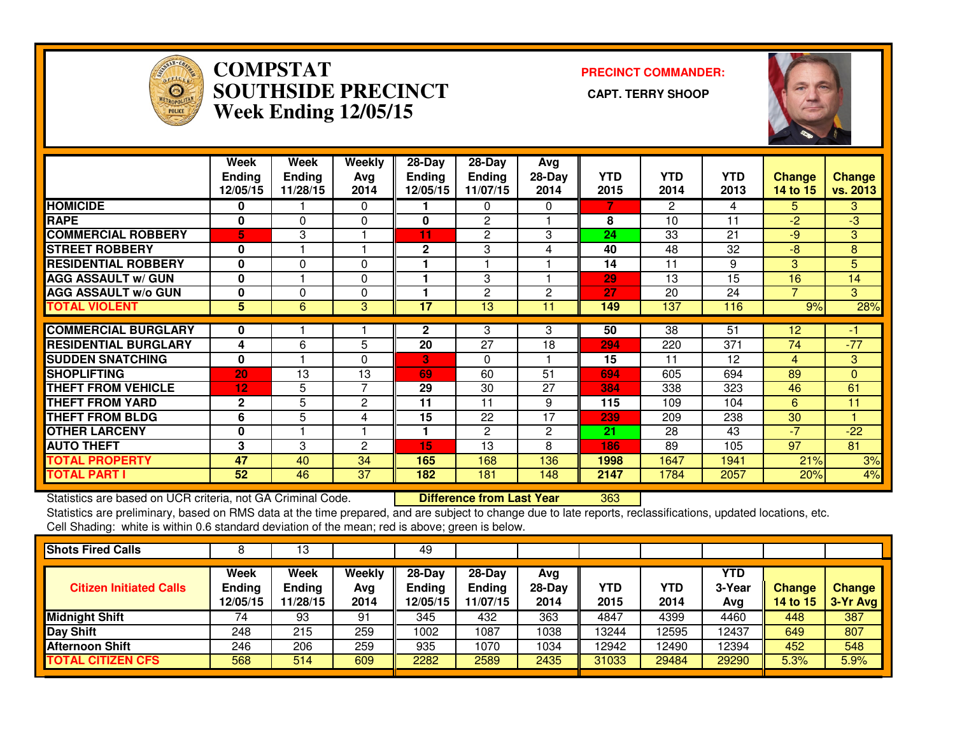

#### **COMPSTAT PRECINCT COMMANDER: SOUTHSIDE PRECINCT CAPT. TERRY SHOOPWeek Ending 12/05/15**



|                             | <b>Week</b><br>Ending<br>12/05/15 | Week<br><b>Ending</b><br>11/28/15 | Weekly<br>Ava<br>2014 | $28 - Day$<br><b>Ending</b><br>12/05/15 | $28-Day$<br><b>Ending</b><br>11/07/15 | Avg<br>$28-Day$<br>2014 | <b>YTD</b><br>2015 | <b>YTD</b><br>2014 | <b>YTD</b><br>2013 | <b>Change</b><br><b>14 to 15</b> | <b>Change</b><br>vs. 2013 |
|-----------------------------|-----------------------------------|-----------------------------------|-----------------------|-----------------------------------------|---------------------------------------|-------------------------|--------------------|--------------------|--------------------|----------------------------------|---------------------------|
| <b>HOMICIDE</b>             | 0                                 |                                   | 0                     |                                         | 0                                     | 0                       |                    | 2                  | 4                  | 5.                               | 3.                        |
| <b>RAPE</b>                 | $\bf{0}$                          | $\Omega$                          | $\Omega$              | 0                                       | 2                                     |                         | 8                  | 10                 | 11                 | $-2$                             | $-3$                      |
| <b>COMMERCIAL ROBBERY</b>   | 5                                 | 3                                 | -1                    | 11                                      | $\overline{c}$                        | 3                       | 24                 | 33                 | 21                 | -9                               | 3                         |
| <b>STREET ROBBERY</b>       | $\bf{0}$                          |                                   | н                     | $\mathbf{2}$                            | 3                                     | 4                       | 40                 | 48                 | 32                 | $-8$                             | 8                         |
| <b>RESIDENTIAL ROBBERY</b>  | $\mathbf 0$                       | $\Omega$                          | 0                     |                                         |                                       |                         | 14                 | 11                 | 9                  | 3                                | 5                         |
| <b>AGG ASSAULT w/ GUN</b>   | $\bf{0}$                          |                                   | 0                     |                                         | 3                                     |                         | 29                 | 13                 | 15                 | 16                               | 14                        |
| <b>AGG ASSAULT w/o GUN</b>  | 0                                 | 0                                 | 0                     |                                         | $\overline{2}$                        | 2                       | 27                 | 20                 | 24                 |                                  | 3                         |
| <b>TOTAL VIOLENT</b>        | 5                                 | 6                                 | 3                     | 17                                      | 13                                    | 11                      | 149                | 137                | 116                | 9%                               | 28%                       |
| <b>COMMERCIAL BURGLARY</b>  | 0                                 |                                   |                       | $\mathbf{2}$                            | 3                                     | 3                       | 50                 | 38                 | 51                 | 12                               |                           |
| <b>RESIDENTIAL BURGLARY</b> | 4                                 | 6                                 | 5                     | 20                                      | 27                                    | 18                      | 294                | 220                | 371                | 74                               | $-77$                     |
| <b>SUDDEN SNATCHING</b>     | $\bf{0}$                          |                                   | $\Omega$              | 3                                       | 0                                     |                         | 15                 | 11                 | 12                 | 4                                | 3                         |
| <b>SHOPLIFTING</b>          | 20                                | 13                                | 13                    | 69                                      | 60                                    | 51                      | 694                | 605                | 694                | 89                               | 0                         |
| <b>THEFT FROM VEHICLE</b>   | 12                                | 5                                 | 7                     | 29                                      | 30                                    | 27                      | 384                | 338                | 323                | 46                               | 61                        |
| <b>THEFT FROM YARD</b>      | $\mathbf{2}$                      | 5                                 | 2                     | 11                                      | 11                                    | 9                       | 115                | 109                | 104                | 6                                | 11                        |
| <b>THEFT FROM BLDG</b>      | 6                                 | 5                                 | 4                     | 15                                      | 22                                    | 17                      | 239                | 209                | 238                | 30                               |                           |
| <b>OTHER LARCENY</b>        | $\mathbf 0$                       |                                   | ۴                     |                                         | $\overline{2}$                        | 2                       | 21                 | 28                 | 43                 | $-7$                             | $-22$                     |
| <b>AUTO THEFT</b>           | 3                                 | 3                                 | $\overline{2}$        | 15                                      | 13                                    | 8                       | 186                | 89                 | 105                | 97                               | 81                        |
| <b>TOTAL PROPERTY</b>       | 47                                | 40                                | 34                    | 165                                     | 168                                   | 136                     | 1998               | 1647               | 1941               | 21%                              | 3%                        |
| <b>TOTAL PART I</b>         | 52                                | 46                                | 37                    | 182                                     | 181                                   | 148                     | 2147               | 1784               | 2057               | 20%                              | 4%                        |

Statistics are based on UCR criteria, not GA Criminal Code. **Difference from Last Year** 

Statistics are based on UCR criteria, not GA Criminal Code. **[20] Difference from Last Year [363] [20] Statistics**<br>Statistics are preliminary, based on RMS data at the time prepared, and are subject to change due to late r Cell Shading: white is within 0.6 standard deviation of the mean; red is above; green is below.

| <b>Shots Fired Calls</b>       |                                   | 13                                |                              | 49                                    |                                       |                         |             |             |                      |                           |                             |
|--------------------------------|-----------------------------------|-----------------------------------|------------------------------|---------------------------------------|---------------------------------------|-------------------------|-------------|-------------|----------------------|---------------------------|-----------------------------|
| <b>Citizen Initiated Calls</b> | <b>Week</b><br>Ending<br>12/05/15 | Week<br><b>Ending</b><br>11/28/15 | <b>Weekly</b><br>Avg<br>2014 | $28-Dav$<br><b>Ending</b><br>12/05/15 | $28-Dav$<br><b>Ending</b><br>11/07/15 | Avg<br>$28-Day$<br>2014 | YTD<br>2015 | YTD<br>2014 | YTD<br>3-Year<br>Avg | <b>Change</b><br>14 to 15 | <b>Change</b><br>$3-Yr$ Avg |
| <b>Midnight Shift</b>          | 74                                | 93                                | 91                           | 345                                   | 432                                   | 363                     | 4847        | 4399        | 4460                 | 448                       | 387                         |
| Day Shift                      | 248                               | 215                               | 259                          | 1002                                  | 1087                                  | 1038                    | 13244       | 12595       | 12437                | 649                       | 807                         |
| <b>Afternoon Shift</b>         | 246                               | 206                               | 259                          | 935                                   | 1070                                  | 1034                    | 12942       | 12490       | 12394                | 452                       | 548                         |
| <b>TOTAL CITIZEN CFS</b>       | 568                               | 514                               | 609                          | 2282                                  | 2589                                  | 2435                    | 31033       | 29484       | 29290                | 5.3%                      | 5.9%                        |